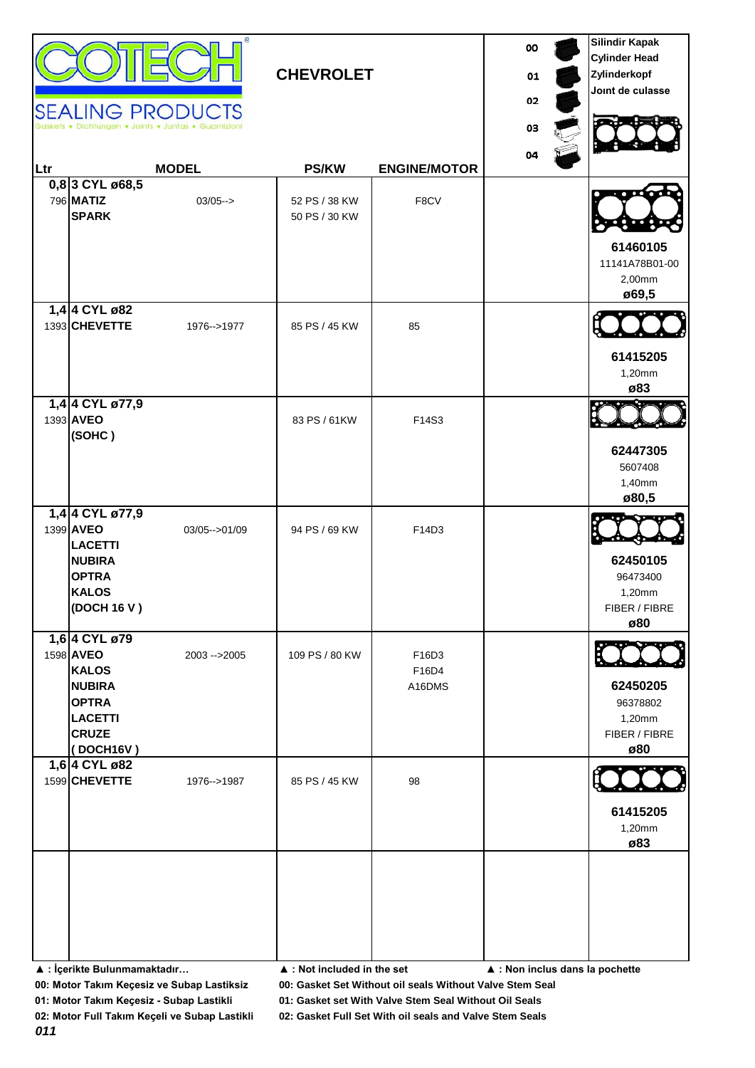| <b>CHEVROLET</b><br><b>SEALING PRODUCTS</b> |                                                                                                                            |                  |                                            |                          | 00<br>01<br>02<br>03            | <b>Silindir Kapak</b><br><b>Cylinder Head</b><br>Zylinderkopf<br>Joint de culasse |
|---------------------------------------------|----------------------------------------------------------------------------------------------------------------------------|------------------|--------------------------------------------|--------------------------|---------------------------------|-----------------------------------------------------------------------------------|
| Ltr                                         |                                                                                                                            | <b>MODEL</b>     | <b>PS/KW</b>                               | <b>ENGINE/MOTOR</b>      | 04                              |                                                                                   |
|                                             | 0,8 3 CYL ø68,5<br>796 MATIZ<br><b>SPARK</b>                                                                               | $03/05--$        | 52 PS / 38 KW<br>50 PS / 30 KW             | F8CV                     |                                 | 61460105<br>11141A78B01-00<br>2,00mm<br>ø69,5                                     |
|                                             | 1,4 4 CYL ø82<br>1393 CHEVETTE                                                                                             | 1976-->1977      | 85 PS / 45 KW                              | 85                       |                                 | 61415205<br>1,20mm<br>ø83                                                         |
|                                             | 1,4 4 CYL ø77,9<br>1393 AVEO<br>(SOHC)                                                                                     |                  | 83 PS / 61KW                               | F14S3                    |                                 | 62447305<br>5607408<br>1,40mm<br>ø80,5                                            |
|                                             | 1,4 4 CYL ø77,9<br>1399 AVEO<br><b>LACETTI</b><br><b>NUBIRA</b><br><b>OPTRA</b><br><b>KALOS</b><br>(DOCH 16 V)             | 03/05 -- > 01/09 | 94 PS / 69 KW                              | F14D3                    |                                 | 62450105<br>96473400<br>1,20mm<br>FIBER / FIBRE<br>ø80                            |
|                                             | 1,6 4 CYL ø79<br>1598 AVEO<br><b>KALOS</b><br><b>NUBIRA</b><br><b>OPTRA</b><br><b>LACETTI</b><br><b>CRUZE</b><br>(DOCH16V) | 2003 -- > 2005   | 109 PS / 80 KW                             | F16D3<br>F16D4<br>A16DMS |                                 | 62450205<br>96378802<br>1,20mm<br>FIBER / FIBRE<br>ø80                            |
|                                             | 1,6 4 CYL ø82<br>1599 CHEVETTE                                                                                             | 1976-->1987      | 85 PS / 45 KW                              | 98                       |                                 | 61415205<br>1,20mm<br>ø83                                                         |
|                                             | ▲ : İçerikte Bulunmamaktadır                                                                                               |                  | $\blacktriangle$ : Not included in the set |                          | ▲ : Non inclus dans la pochette |                                                                                   |

**00: Motor Takım Keçesiz ve Subap Lastiksiz 00: Gasket Set Without oil seals Without Valve Stem Seal**

**01: Motor Takım Keçesiz - Subap Lastikli 01: Gasket set With Valve Stem Seal Without Oil Seals**

**02: Motor Full Takım Keçeli ve Subap Lastikli 02: Gasket Full Set With oil seals and Valve Stem Seals**

*011*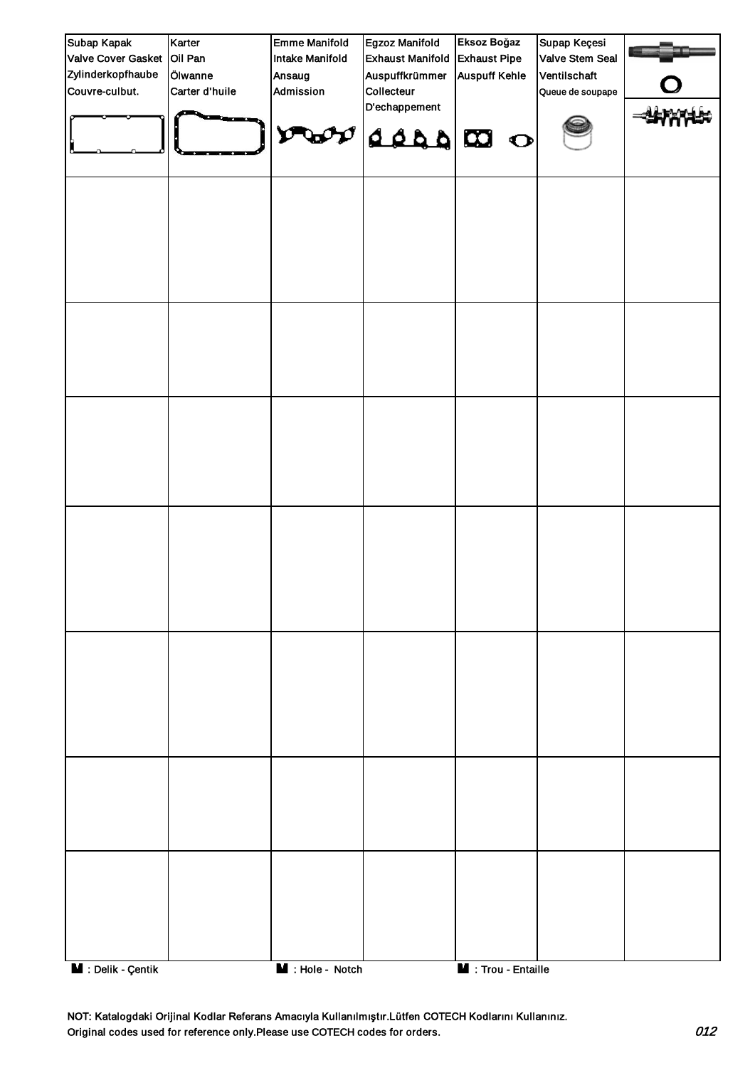| Subap Kapak                     | Karter         | <b>Emme Manifold</b>   | Egzoz Manifold          | Eksoz Boğaz                | Supap Keçesi     |  |
|---------------------------------|----------------|------------------------|-------------------------|----------------------------|------------------|--|
| Valve Cover Gasket Oil Pan      |                | <b>Intake Manifold</b> | <b>Exhaust Manifold</b> | <b>Exhaust Pipe</b>        | Valve Stem Seal  |  |
| Zylinderkopfhaube               | Ölwanne        | Ansaug                 | Auspuffkrümmer          | <b>Auspuff Kehle</b>       | Ventilschaft     |  |
| Couvre-culbut.                  | Carter d'huile | Admission              | Collecteur              |                            | Queue de soupape |  |
|                                 |                |                        | D'echappement           |                            |                  |  |
|                                 |                |                        |                         |                            |                  |  |
|                                 |                | $\mathbf v$            | O CO 244                |                            |                  |  |
|                                 |                |                        |                         |                            |                  |  |
|                                 |                |                        |                         |                            |                  |  |
|                                 |                |                        |                         |                            |                  |  |
|                                 |                |                        |                         |                            |                  |  |
|                                 |                |                        |                         |                            |                  |  |
|                                 |                |                        |                         |                            |                  |  |
|                                 |                |                        |                         |                            |                  |  |
|                                 |                |                        |                         |                            |                  |  |
|                                 |                |                        |                         |                            |                  |  |
|                                 |                |                        |                         |                            |                  |  |
|                                 |                |                        |                         |                            |                  |  |
|                                 |                |                        |                         |                            |                  |  |
|                                 |                |                        |                         |                            |                  |  |
|                                 |                |                        |                         |                            |                  |  |
|                                 |                |                        |                         |                            |                  |  |
|                                 |                |                        |                         |                            |                  |  |
|                                 |                |                        |                         |                            |                  |  |
|                                 |                |                        |                         |                            |                  |  |
|                                 |                |                        |                         |                            |                  |  |
|                                 |                |                        |                         |                            |                  |  |
|                                 |                |                        |                         |                            |                  |  |
|                                 |                |                        |                         |                            |                  |  |
|                                 |                |                        |                         |                            |                  |  |
|                                 |                |                        |                         |                            |                  |  |
|                                 |                |                        |                         |                            |                  |  |
|                                 |                |                        |                         |                            |                  |  |
|                                 |                |                        |                         |                            |                  |  |
|                                 |                |                        |                         |                            |                  |  |
|                                 |                |                        |                         |                            |                  |  |
|                                 |                |                        |                         |                            |                  |  |
|                                 |                |                        |                         |                            |                  |  |
|                                 |                |                        |                         |                            |                  |  |
|                                 |                |                        |                         |                            |                  |  |
|                                 |                |                        |                         |                            |                  |  |
|                                 |                |                        |                         |                            |                  |  |
|                                 |                |                        |                         |                            |                  |  |
|                                 |                |                        |                         |                            |                  |  |
|                                 |                |                        |                         |                            |                  |  |
|                                 |                |                        |                         |                            |                  |  |
|                                 |                |                        |                         |                            |                  |  |
|                                 |                |                        |                         |                            |                  |  |
|                                 |                |                        |                         |                            |                  |  |
|                                 |                |                        |                         |                            |                  |  |
|                                 |                |                        |                         |                            |                  |  |
|                                 |                |                        |                         |                            |                  |  |
|                                 |                |                        |                         |                            |                  |  |
|                                 |                |                        |                         |                            |                  |  |
| $\blacksquare$ : Delik - Çentik |                | M : Hole - Notch       |                         | <b>M</b> : Trou - Entaille |                  |  |

NOT: Katalogdaki Orijinal Kodlar Referans Amacıyla Kullanılmıştır.Lütfen COTECH Kodlarını Kullanınız. Original codes used for reference only.Please use COTECH codes for orders. 012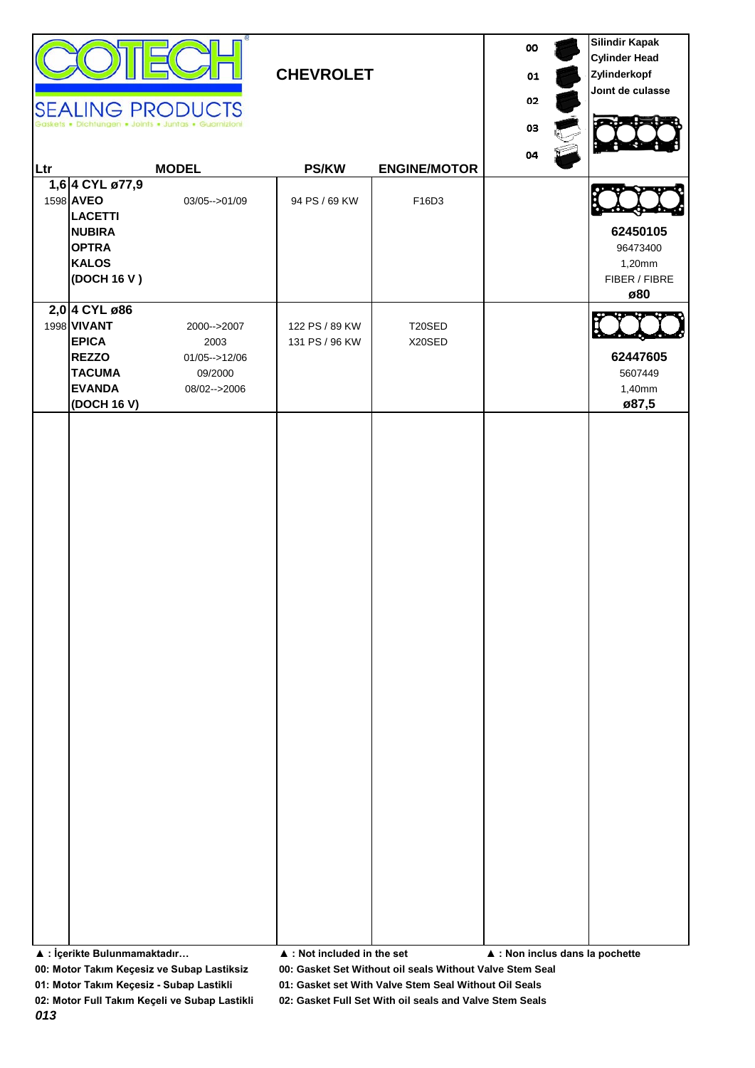|     |                                                                                                                      | <b>SEALING PRODUCTS</b><br>Ichtungen . Joints . Juntas . Guarnizioni | <b>CHEVROLET</b>                           |                                                          | 00<br>01<br>02<br>03            | <b>Silindir Kapak</b><br><b>Cylinder Head</b><br>Zylinderkopf<br>Joint de culasse |
|-----|----------------------------------------------------------------------------------------------------------------------|----------------------------------------------------------------------|--------------------------------------------|----------------------------------------------------------|---------------------------------|-----------------------------------------------------------------------------------|
| Ltr |                                                                                                                      | <b>MODEL</b>                                                         | <b>PS/KW</b>                               | <b>ENGINE/MOTOR</b>                                      | 04                              |                                                                                   |
|     | 1,6 4 CYL ø77,9<br>1598 AVEO<br><b>LACETTI</b><br><b>NUBIRA</b><br><b>OPTRA</b><br><b>KALOS</b><br>(DOCH 16 V)       | 03/05 -- > 01/09                                                     | 94 PS / 69 KW                              | F16D3                                                    |                                 | 62450105<br>96473400<br>1,20mm<br>FIBER / FIBRE<br>ø80                            |
|     | 2,0 4 CYL ø86<br>1998 <b>VIVANT</b><br><b>EPICA</b><br><b>REZZO</b><br><b>TACUMA</b><br><b>EVANDA</b><br>(DOCH 16 V) | 2000-->2007<br>2003<br>$01/05 - > 12/06$<br>09/2000<br>08/02-->2006  | 122 PS / 89 KW<br>131 PS / 96 KW           | T20SED<br>X20SED                                         |                                 | 62447605<br>5607449<br>1,40mm<br>ø87,5                                            |
|     | ▲ : İçerikte Bulunmamaktadır                                                                                         | 00: Motor Takım Keçesiz ve Subap Lastiksiz                           | $\blacktriangle$ : Not included in the set | 00: Gasket Set Without oil seals Without Valve Stem Seal | ▲ : Non inclus dans la pochette |                                                                                   |

**01: Motor Takım Keçesiz - Subap Lastikli 01: Gasket set With Valve Stem Seal Without Oil Seals 02: Motor Full Takım Keçeli ve Subap Lastikli 02: Gasket Full Set With oil seals and Valve Stem Seals**

*013*